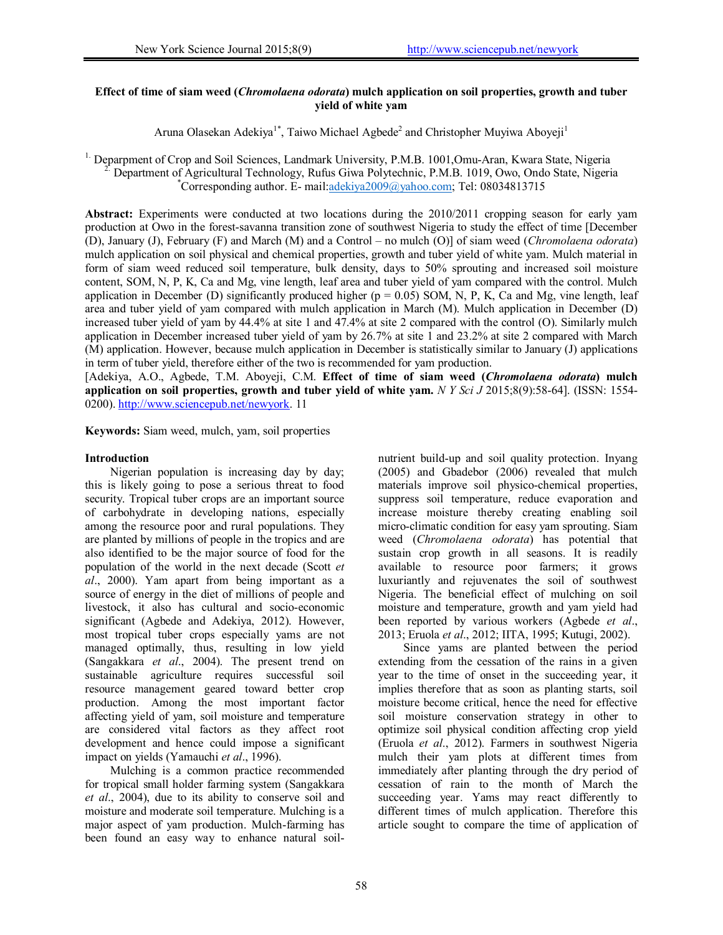# **Effect of time of siam weed (***Chromolaena odorata***) mulch application on soil properties, growth and tuber yield of white yam**

Aruna Olasekan Adekiya<sup>1\*</sup>, Taiwo Michael Agbede<sup>2</sup> and Christopher Muyiwa Aboyeji<sup>1</sup>

<sup>1.</sup> Deparpment of Crop and Soil Sciences, Landmark University, P.M.B. 1001,Omu-Aran, Kwara State, Nigeria 2. Department of Agricultural Technology, Rufus Giwa Polytechnic, P.M.B. 1019, Owo, Ondo State, Nigeria \*  $^{\ast}$ Corresponding author. E- mail:adekiya2009@yahoo.com; Tel: 08034813715

Abstract: Experiments were conducted at two locations during the 2010/2011 cropping season for early yam production at Owo in the forest-savanna transition zone of southwest Nigeria to study the effect of time [December (D), January (J), February (F) and March (M) and a Control – no mulch (O)] of siam weed (*Chromolaena odorata*) mulch application on soil physical and chemical properties, growth and tuber yield of white yam. Mulch material in form of siam weed reduced soil temperature, bulk density, days to 50% sprouting and increased soil moisture content, SOM, N, P, K, Ca and Mg, vine length, leaf area and tuber yield of yam compared with the control. Mulch application in December (D) significantly produced higher ( $p = 0.05$ ) SOM, N, P, K, Ca and Mg, vine length, leaf area and tuber yield of yam compared with mulch application in March (M). Mulch application in December (D) increased tuber yield of yam by 44.4% at site 1 and 47.4% at site 2 compared with the control (O). Similarly mulch application in December increased tuber yield of yam by 26.7% at site 1 and 23.2% at site 2 compared with March (M) application. However, because mulch application in December is statistically similar to January (J) applications in term of tuber yield, therefore either of the two is recommended for yam production.

[Adekiya, A.O., Agbede, T.M. Aboyeji, C.M. **Effect of time of siam weed (***Chromolaena odorata***) mulch application on soil properties, growth and tuber yield of white yam.** *N Y Sci J* 2015;8(9):58-64]. (ISSN: 1554- 0200). http://www.sciencepub.net/newyork. 11

**Keywords:** Siam weed, mulch, yam, soil properties

#### **Introduction**

Nigerian population is increasing day by day; this is likely going to pose a serious threat to food security. Tropical tuber crops are an important source of carbohydrate in developing nations, especially among the resource poor and rural populations. They are planted by millions of people in the tropics and are also identified to be the major source of food for the population of the world in the next decade (Scott *et al*., 2000). Yam apart from being important as a source of energy in the diet of millions of people and livestock, it also has cultural and socio-economic significant (Agbede and Adekiya, 2012). However, most tropical tuber crops especially yams are not managed optimally, thus, resulting in low yield (Sangakkara *et al*., 2004). The present trend on sustainable agriculture requires successful soil resource management geared toward better crop production. Among the most important factor affecting yield of yam, soil moisture and temperature are considered vital factors as they affect root development and hence could impose a significant impact on yields (Yamauchi *et al*., 1996).

Mulching is a common practice recommended for tropical small holder farming system (Sangakkara *et al*., 2004), due to its ability to conserve soil and moisture and moderate soil temperature. Mulching is a major aspect of yam production. Mulch-farming has been found an easy way to enhance natural soil-

nutrient build-up and soil quality protection. Inyang (2005) and Gbadebor (2006) revealed that mulch materials improve soil physico-chemical properties, suppress soil temperature, reduce evaporation and increase moisture thereby creating enabling soil micro-climatic condition for easy yam sprouting. Siam weed (*Chromolaena odorata*) has potential that sustain crop growth in all seasons. It is readily available to resource poor farmers; it grows luxuriantly and rejuvenates the soil of southwest Nigeria. The beneficial effect of mulching on soil moisture and temperature, growth and yam yield had been reported by various workers (Agbede *et al*., 2013; Eruola *et al*., 2012; IITA, 1995; Kutugi, 2002).

Since yams are planted between the period extending from the cessation of the rains in a given year to the time of onset in the succeeding year, it implies therefore that as soon as planting starts, soil moisture become critical, hence the need for effective soil moisture conservation strategy in other to optimize soil physical condition affecting crop yield (Eruola *et al*., 2012). Farmers in southwest Nigeria mulch their yam plots at different times from immediately after planting through the dry period of cessation of rain to the month of March the succeeding year. Yams may react differently to different times of mulch application. Therefore this article sought to compare the time of application of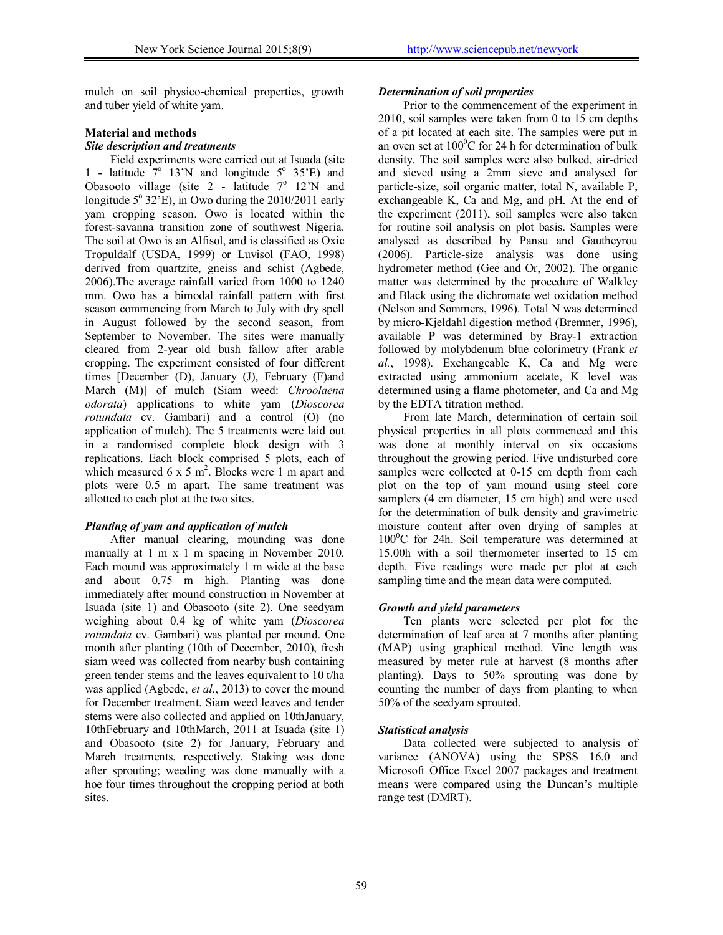mulch on soil physico-chemical properties, growth and tuber yield of white yam.

#### **Material and methods**

#### *Site description and treatments*

Field experiments were carried out at Isuada (site 1 - latitude  $7^\circ$  13'N and longitude  $5^\circ$  35'E) and Obasooto village (site  $2$  - latitude  $7^{\circ}$  12'N and longitude  $5^{\circ}$  32'E), in Owo during the 2010/2011 early yam cropping season. Owo is located within the forest-savanna transition zone of southwest Nigeria. The soil at Owo is an Alfisol, and is classified as Oxic Tropuldalf (USDA, 1999) or Luvisol (FAO, 1998) derived from quartzite, gneiss and schist (Agbede, 2006).The average rainfall varied from 1000 to 1240 mm. Owo has a bimodal rainfall pattern with first season commencing from March to July with dry spell in August followed by the second season, from September to November. The sites were manually cleared from 2-year old bush fallow after arable cropping. The experiment consisted of four different times [December (D), January (J), February (F)and March (M)] of mulch (Siam weed: *Chroolaena odorata*) applications to white yam (*Dioscorea rotundata* cv. Gambari) and a control (O) (no application of mulch). The 5 treatments were laid out in a randomised complete block design with 3 replications. Each block comprised 5 plots, each of which measured 6 x 5  $m^2$ . Blocks were 1 m apart and plots were 0.5 m apart. The same treatment was allotted to each plot at the two sites.

# *Planting of yam and application of mulch*

After manual clearing, mounding was done manually at 1 m x 1 m spacing in November 2010. Each mound was approximately 1 m wide at the base and about 0.75 m high. Planting was done immediately after mound construction in November at Isuada (site 1) and Obasooto (site 2). One seedyam weighing about 0.4 kg of white yam (*Dioscorea rotundata* cv. Gambari) was planted per mound. One month after planting (10th of December, 2010), fresh siam weed was collected from nearby bush containing green tender stems and the leaves equivalent to 10 t/ha was applied (Agbede, *et al*., 2013) to cover the mound for December treatment. Siam weed leaves and tender stems were also collected and applied on 10thJanuary, 10thFebruary and 10thMarch, 2011 at Isuada (site 1) and Obasooto (site 2) for January, February and March treatments, respectively. Staking was done after sprouting; weeding was done manually with a hoe four times throughout the cropping period at both sites.

#### *Determination of soil properties*

Prior to the commencement of the experiment in 2010, soil samples were taken from 0 to 15 cm depths of a pit located at each site. The samples were put in an oven set at  $100^{\circ}$ C for 24 h for determination of bulk density. The soil samples were also bulked, air-dried and sieved using a 2mm sieve and analysed for particle-size, soil organic matter, total N, available P, exchangeable K, Ca and Mg, and pH. At the end of the experiment (2011), soil samples were also taken for routine soil analysis on plot basis. Samples were analysed as described by Pansu and Gautheyrou (2006). Particle-size analysis was done using hydrometer method (Gee and Or, 2002). The organic matter was determined by the procedure of Walkley and Black using the dichromate wet oxidation method (Nelson and Sommers, 1996). Total N was determined by micro-Kjeldahl digestion method (Bremner, 1996), available P was determined by Bray-1 extraction followed by molybdenum blue colorimetry (Frank *et al.*, 1998). Exchangeable K, Ca and Mg were extracted using ammonium acetate, K level was determined using a flame photometer, and Ca and Mg by the EDTA titration method.

From late March, determination of certain soil physical properties in all plots commenced and this was done at monthly interval on six occasions throughout the growing period. Five undisturbed core samples were collected at 0-15 cm depth from each plot on the top of yam mound using steel core samplers (4 cm diameter, 15 cm high) and were used for the determination of bulk density and gravimetric moisture content after oven drying of samples at  $100^{\circ}$ C for 24h. Soil temperature was determined at 15.00h with a soil thermometer inserted to 15 cm depth. Five readings were made per plot at each sampling time and the mean data were computed.

# *Growth and yield parameters*

Ten plants were selected per plot for the determination of leaf area at 7 months after planting (MAP) using graphical method. Vine length was measured by meter rule at harvest (8 months after planting). Days to 50% sprouting was done by counting the number of days from planting to when 50% of the seedyam sprouted.

# *Statistical analysis*

Data collected were subjected to analysis of variance (ANOVA) using the SPSS 16.0 and Microsoft Office Excel 2007 packages and treatment means were compared using the Duncan's multiple range test (DMRT).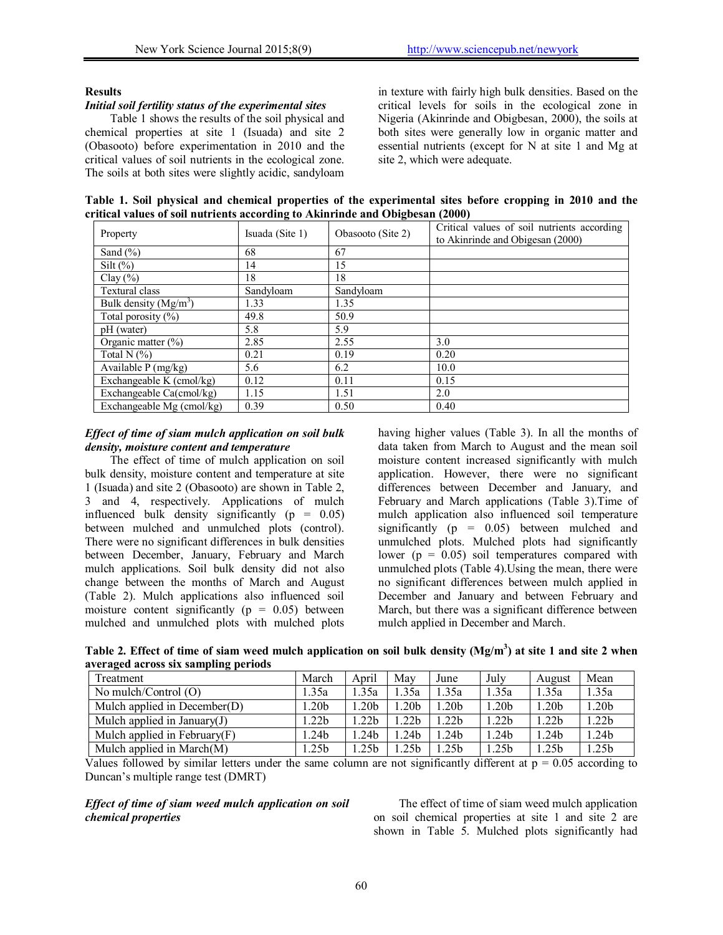# **Results**

# *Initial soil fertility status of the experimental sites*

Table 1 shows the results of the soil physical and chemical properties at site 1 (Isuada) and site 2 (Obasooto) before experimentation in 2010 and the critical values of soil nutrients in the ecological zone. The soils at both sites were slightly acidic, sandyloam in texture with fairly high bulk densities. Based on the critical levels for soils in the ecological zone in Nigeria (Akinrinde and Obigbesan, 2000), the soils at both sites were generally low in organic matter and essential nutrients (except for N at site 1 and Mg at site 2, which were adequate.

**Table 1. Soil physical and chemical properties of the experimental sites before cropping in 2010 and the critical values of soil nutrients according to Akinrinde and Obigbesan (2000)** 

| Property                          | Isuada (Site 1) | Obasooto (Site 2) | Critical values of soil nutrients according<br>to Akinrinde and Obigesan (2000) |
|-----------------------------------|-----------------|-------------------|---------------------------------------------------------------------------------|
| Sand $(\% )$                      | 68              | 67                |                                                                                 |
| Silt $(\%)$                       | 14              | 15                |                                                                                 |
| Clay (%)                          | 18              | 18                |                                                                                 |
| <b>Textural class</b>             | Sandyloam       | Sandyloam         |                                                                                 |
| Bulk density (Mg/m <sup>3</sup> ) | 1.33            | 1.35              |                                                                                 |
| Total porosity $(\%)$             | 49.8            | 50.9              |                                                                                 |
| pH (water)                        | 5.8             | 5.9               |                                                                                 |
| Organic matter $(\% )$            | 2.85            | 2.55              | 3.0                                                                             |
| Total N $(\%)$                    | 0.21            | 0.19              | 0.20                                                                            |
| Available P (mg/kg)               | 5.6             | 6.2               | 10.0                                                                            |
| Exchangeable K (cmol/kg)          | 0.12            | 0.11              | 0.15                                                                            |
| Exchangeable Ca(cmol/kg)          | 1.15            | 1.51              | 2.0                                                                             |
| Exchangeable Mg (cmol/kg)         | 0.39            | 0.50              | 0.40                                                                            |

#### *Effect of time of siam mulch application on soil bulk density, moisture content and temperature*

The effect of time of mulch application on soil bulk density, moisture content and temperature at site 1 (Isuada) and site 2 (Obasooto) are shown in Table 2, 3 and 4, respectively. Applications of mulch influenced bulk density significantly  $(p = 0.05)$ between mulched and unmulched plots (control). There were no significant differences in bulk densities between December, January, February and March mulch applications. Soil bulk density did not also change between the months of March and August (Table 2). Mulch applications also influenced soil moisture content significantly ( $p = 0.05$ ) between mulched and unmulched plots with mulched plots

having higher values (Table 3). In all the months of data taken from March to August and the mean soil moisture content increased significantly with mulch application. However, there were no significant differences between December and January, and February and March applications (Table 3).Time of mulch application also influenced soil temperature significantly  $(p = 0.05)$  between mulched and unmulched plots. Mulched plots had significantly lower ( $p = 0.05$ ) soil temperatures compared with unmulched plots (Table 4).Using the mean, there were no significant differences between mulch applied in December and January and between February and March, but there was a significant difference between mulch applied in December and March.

Table 2. Effect of time of siam weed mulch application on soil bulk density (Mg/m<sup>3</sup>) at site 1 and site 2 when **averaged across six sampling periods** 

| Treatment                       | March             | April            | May              | June             | July              | August           | Mean             |
|---------------------------------|-------------------|------------------|------------------|------------------|-------------------|------------------|------------------|
| No mulch/Control (O)            | 1.35a             | .35a             | .35a             | .35a             | 1.35a             | .35a             | .35a             |
| Mulch applied in December $(D)$ | 1.20b             | .20 <sub>b</sub> | .20 <sub>b</sub> | .20 <sub>b</sub> | 1.20b             | .20 <sub>b</sub> | .20 <sub>b</sub> |
| Mulch applied in January $(J)$  | 1.22 <sub>b</sub> | 1.22b            | .22 <sub>b</sub> | .22 <sub>b</sub> | 1.22 <sub>b</sub> | 1.22b            | 1.22b            |
| Mulch applied in February $(F)$ | 1.24b             | l.24b            | .24 <sub>b</sub> | .24 <sub>b</sub> | 1.24 <sub>b</sub> | .24b             | . .24b           |
| Mulch applied in March $(M)$    | 1.25b             | .25 <sub>b</sub> | .25 <sub>b</sub> | .25b             | 1.25b             | .25b             | .25b             |

Values followed by similar letters under the same column are not significantly different at  $p = 0.05$  according to Duncan's multiple range test (DMRT)

*Effect of time of siam weed mulch application on soil chemical properties* 

The effect of time of siam weed mulch application on soil chemical properties at site 1 and site 2 are shown in Table 5. Mulched plots significantly had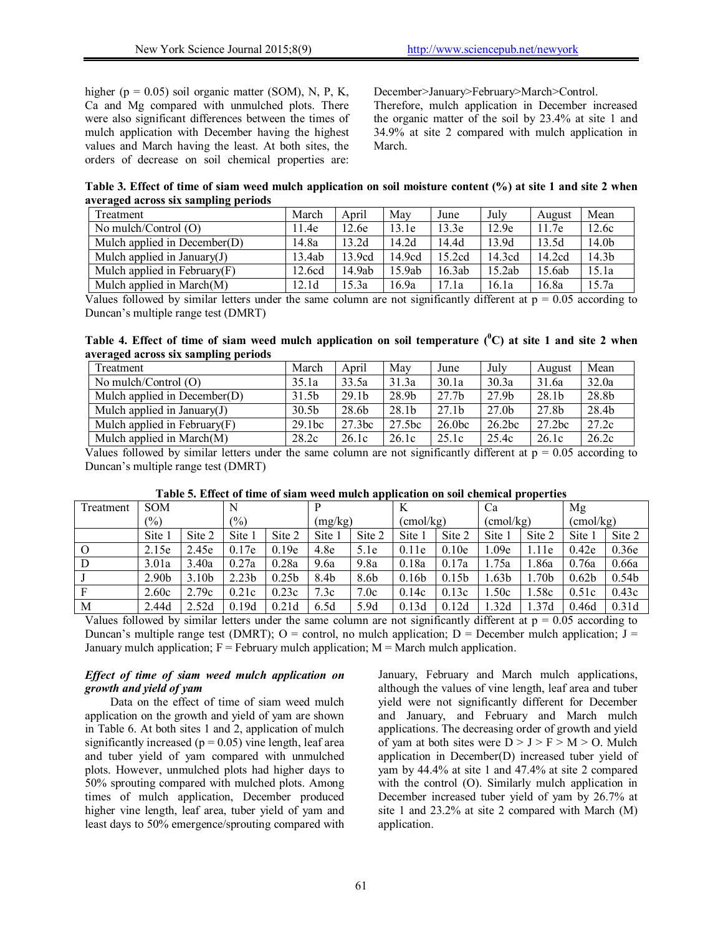higher ( $p = 0.05$ ) soil organic matter (SOM), N, P, K, Ca and Mg compared with unmulched plots. There were also significant differences between the times of mulch application with December having the highest values and March having the least. At both sites, the orders of decrease on soil chemical properties are: December>January>February>March>Control.

Therefore, mulch application in December increased the organic matter of the soil by 23.4% at site 1 and 34.9% at site 2 compared with mulch application in March.

**Table 3. Effect of time of siam weed mulch application on soil moisture content (%) at site 1 and site 2 when averaged across six sampling periods** 

| Treatment                       | March             | April  | May    | June   | July   | August | Mean  |
|---------------------------------|-------------------|--------|--------|--------|--------|--------|-------|
| No mulch/Control (O)            | . 1.4e            | 12.6e  | 13.1e  | 13.3e  | 12.9e  | 11.7e  | 12.6c |
| Mulch applied in December $(D)$ | 14.8a             | 13.2d  | 14.2d  | 14.4d  | 13.9d  | 13.5d  | 14.0b |
| Mulch applied in January $(J)$  | 13.4ab            | 13.9cd | 14.9cd | 15.2cd | 14.3cd | 14.2cd | 14.3b |
| Mulch applied in February $(F)$ | 12.6cd            | 14.9ab | 15.9ab | 16.3ab | 15.2ab | 15.6ab | 15.1a |
| Mulch applied in March $(M)$    | 12.1 <sub>d</sub> | 15.3a  | 16.9a  | 17.1a  | 16.1a  | 16.8a  | 15.7a |

Values followed by similar letters under the same column are not significantly different at  $p = 0.05$  according to Duncan's multiple range test (DMRT)

Table 4. Effect of time of siam weed mulch application on soil temperature (<sup>0</sup>C) at site 1 and site 2 when **averaged across six sampling periods** 

| Treatment                       | March             | April             | May    | June               | July               | August | Mean  |
|---------------------------------|-------------------|-------------------|--------|--------------------|--------------------|--------|-------|
| No mulch/Control $(O)$          | 35.1a             | 33.5a             | 31.3a  | 30.1a              | 30.3a              | 31.6a  | 32.0a |
| Mulch applied in December $(D)$ | 31.5b             | 29.1 <sub>b</sub> | 28.9b  | 27.7 <sub>b</sub>  | 27.9b              | 28.1b  | 28.8b |
| Mulch applied in January $(J)$  | 30.5 <sub>b</sub> | 28.6b             | 28.1b  | 27.1 <sub>b</sub>  | 27.0 <sub>b</sub>  | 27.8b  | 28.4b |
| Mulch applied in February $(F)$ | 29.1bc            | 27.3bc            | 27.5bc | 26.0 <sub>bc</sub> | 26.2 <sub>bc</sub> | 27.2bc | 27.2c |
| Mulch applied in March $(M)$    | 28.2c             | 26.1c             | 26.1c  | 25.1c              | 25.4c              | 26.1c  | 26.2c |

Values followed by similar letters under the same column are not significantly different at  $p = 0.05$  according to Duncan's multiple range test (DMRT)

| Treatment | <b>SOM</b>             |                   | N                 |                   |                  |        | K                  |                   | Ca                 |        | Mg                |                   |
|-----------|------------------------|-------------------|-------------------|-------------------|------------------|--------|--------------------|-------------------|--------------------|--------|-------------------|-------------------|
|           | (9/0)<br>$\frac{1}{2}$ |                   | (mg/kg)           |                   | $\text{cmol/kg}$ |        | $\text{(cmol/kg)}$ |                   | $\text{(cmol/kg)}$ |        |                   |                   |
|           | Site 1                 | Site 2            | Site 1            | Site 2            | Site 1           | Site 2 | Site 1             | Site 2            | Site 1             | Site 2 | Site 1            | Site 2            |
| $\Omega$  | 2.15e                  | 2.45e             | 0.17e             | 0.19e             | 4.8e             | 5.1e   | 0.11e              | 0.10e             | .09e               | 1.11e  | 0.42e             | 0.36e             |
| D         | 3.01a                  | 3.40a             | 0.27a             | 0.28a             | 9.6a             | 9.8a   | 0.18a              | 0.17a             | .75a               | .86a   | 0.76a             | 0.66a             |
|           | 2.90 <sub>b</sub>      | 3.10 <sub>b</sub> | 2.23 <sub>b</sub> | 0.25 <sub>b</sub> | 8.4b             | 8.6b   | 0.16 <sub>b</sub>  | 0.15 <sub>b</sub> | .63 <sub>b</sub>   | 1.70b  | 0.62 <sub>b</sub> | 0.54 <sub>b</sub> |
| F         | 2.60c                  | 2.79c             | 0.21c             | 0.23c             | 7.3c             | 7.0c   | 0.14c              | 0.13c             | .50c               | .58c   | 0.51c             | 0.43c             |
| M         | 2.44d                  | 2.52d             | 0.19d             | 0.21d             | 6.5d             | 5.9d   | 0.13d              | 0.12d             | .32d               | .37d   | 0.46d             | 0.31d             |

**Table 5. Effect of time of siam weed mulch application on soil chemical properties** 

Values followed by similar letters under the same column are not significantly different at  $p = 0.05$  according to Duncan's multiple range test (DMRT); O = control, no mulch application; D = December mulch application;  $J =$ January mulch application;  $F = Fe$  February mulch application;  $M =$  March mulch application.

# *Effect of time of siam weed mulch application on growth and yield of yam*

Data on the effect of time of siam weed mulch application on the growth and yield of yam are shown in Table 6. At both sites 1 and 2, application of mulch significantly increased ( $p = 0.05$ ) vine length, leaf area and tuber yield of yam compared with unmulched plots. However, unmulched plots had higher days to 50% sprouting compared with mulched plots. Among times of mulch application, December produced higher vine length, leaf area, tuber yield of yam and least days to 50% emergence/sprouting compared with January, February and March mulch applications, although the values of vine length, leaf area and tuber yield were not significantly different for December and January, and February and March mulch applications. The decreasing order of growth and yield of yam at both sites were  $D > J > F > M > 0$ . Mulch application in December(D) increased tuber yield of yam by 44.4% at site 1 and 47.4% at site 2 compared with the control (O). Similarly mulch application in December increased tuber yield of yam by 26.7% at site 1 and 23.2% at site 2 compared with March (M) application.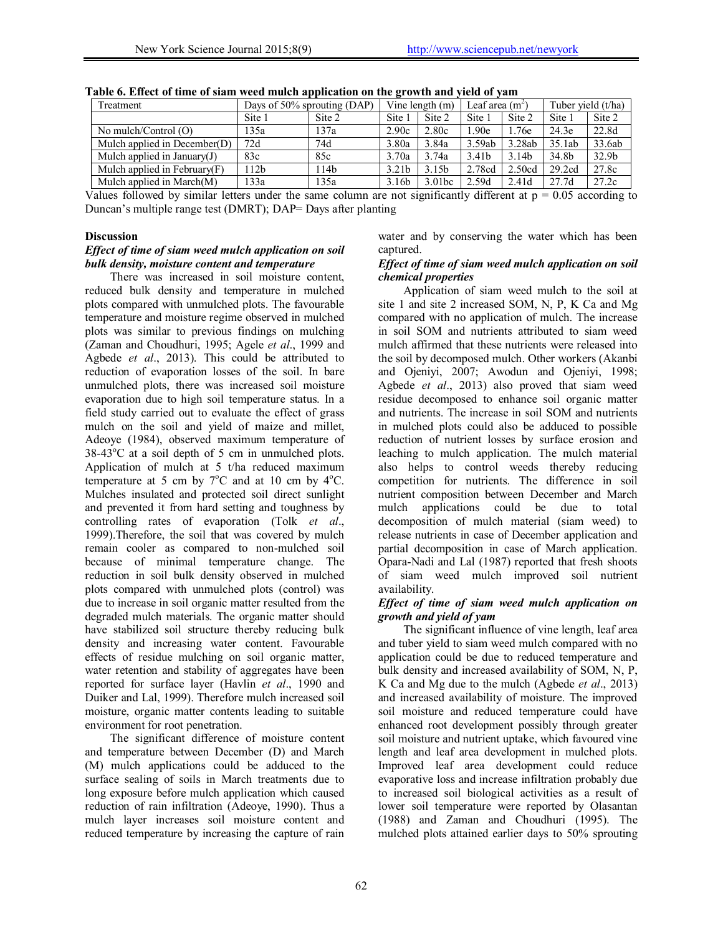| Treatment                       | Days of $50\%$ sprouting (DAP) |                  | Vine length $(m)$ |                   | Leaf area $(m2)$  |        | Tuber yield (t/ha) |                   |
|---------------------------------|--------------------------------|------------------|-------------------|-------------------|-------------------|--------|--------------------|-------------------|
|                                 | Site 1                         | Site 2           | Site 1            | Site 2            | Site 1            | Site 2 | Site 1             | Site 2            |
| No mulch/Control (O)            | 135a                           | 137a             | 2.90c             | 2.80c             | .90 <sub>e</sub>  | 1.76e  | 24.3e              | 22.8d             |
| Mulch applied in December $(D)$ | 72d                            | 74d              | 3.80a             | 3.84a             | 3.59ab            | 3.28ab | 35.1ab             | 33.6ab            |
| Mulch applied in January $(J)$  | 83c                            | 85c              | 3.70a             | 3.74a             | 3.41 <sub>b</sub> | 3.14b  | 34.8b              | 32.9 <sub>b</sub> |
| Mulch applied in February $(F)$ | 112b                           | 114 <sub>b</sub> | 3.21 <sub>b</sub> | 3.15 <sub>b</sub> | 2.78cd            | 2.50cd | 29.2cd             | 27.8c             |
| Mulch applied in March(M)       | 133a                           | 135a             | 3.16 <sub>b</sub> | 3.01bc            | 2.59d             | 2.41d  | 27.7d              | 27.2c             |

| Table 6. Effect of time of siam weed mulch application on the growth and yield of yam |  |  |
|---------------------------------------------------------------------------------------|--|--|
|---------------------------------------------------------------------------------------|--|--|

Values followed by similar letters under the same column are not significantly different at  $p = 0.05$  according to Duncan's multiple range test (DMRT); DAP= Days after planting

#### **Discussion**

#### *Effect of time of siam weed mulch application on soil bulk density, moisture content and temperature*

There was increased in soil moisture content, reduced bulk density and temperature in mulched plots compared with unmulched plots. The favourable temperature and moisture regime observed in mulched plots was similar to previous findings on mulching (Zaman and Choudhuri, 1995; Agele *et al*., 1999 and Agbede *et al*., 2013). This could be attributed to reduction of evaporation losses of the soil. In bare unmulched plots, there was increased soil moisture evaporation due to high soil temperature status. In a field study carried out to evaluate the effect of grass mulch on the soil and yield of maize and millet, Adeoye (1984), observed maximum temperature of  $38-43^{\circ}$ C at a soil depth of 5 cm in unmulched plots. Application of mulch at 5 t/ha reduced maximum temperature at 5 cm by  $7^{\circ}$ C and at 10 cm by  $4^{\circ}$ C. Mulches insulated and protected soil direct sunlight and prevented it from hard setting and toughness by controlling rates of evaporation (Tolk *et al*., 1999).Therefore, the soil that was covered by mulch remain cooler as compared to non-mulched soil because of minimal temperature change. The reduction in soil bulk density observed in mulched plots compared with unmulched plots (control) was due to increase in soil organic matter resulted from the degraded mulch materials. The organic matter should have stabilized soil structure thereby reducing bulk density and increasing water content. Favourable effects of residue mulching on soil organic matter, water retention and stability of aggregates have been reported for surface layer (Havlin *et al*., 1990 and Duiker and Lal, 1999). Therefore mulch increased soil moisture, organic matter contents leading to suitable environment for root penetration.

The significant difference of moisture content and temperature between December (D) and March (M) mulch applications could be adduced to the surface sealing of soils in March treatments due to long exposure before mulch application which caused reduction of rain infiltration (Adeoye, 1990). Thus a mulch layer increases soil moisture content and reduced temperature by increasing the capture of rain

water and by conserving the water which has been captured.

#### *Effect of time of siam weed mulch application on soil chemical properties*

Application of siam weed mulch to the soil at site 1 and site 2 increased SOM, N, P, K Ca and Mg compared with no application of mulch. The increase in soil SOM and nutrients attributed to siam weed mulch affirmed that these nutrients were released into the soil by decomposed mulch. Other workers (Akanbi and Ojeniyi, 2007; Awodun and Ojeniyi, 1998; Agbede *et al*., 2013) also proved that siam weed residue decomposed to enhance soil organic matter and nutrients. The increase in soil SOM and nutrients in mulched plots could also be adduced to possible reduction of nutrient losses by surface erosion and leaching to mulch application. The mulch material also helps to control weeds thereby reducing competition for nutrients. The difference in soil nutrient composition between December and March mulch applications could be due to total decomposition of mulch material (siam weed) to release nutrients in case of December application and partial decomposition in case of March application. Opara-Nadi and Lal (1987) reported that fresh shoots of siam weed mulch improved soil nutrient availability.

#### *Effect of time of siam weed mulch application on growth and yield of yam*

The significant influence of vine length, leaf area and tuber yield to siam weed mulch compared with no application could be due to reduced temperature and bulk density and increased availability of SOM, N, P, K Ca and Mg due to the mulch (Agbede *et al*., 2013) and increased availability of moisture. The improved soil moisture and reduced temperature could have enhanced root development possibly through greater soil moisture and nutrient uptake, which favoured vine length and leaf area development in mulched plots. Improved leaf area development could reduce evaporative loss and increase infiltration probably due to increased soil biological activities as a result of lower soil temperature were reported by Olasantan (1988) and Zaman and Choudhuri (1995). The mulched plots attained earlier days to 50% sprouting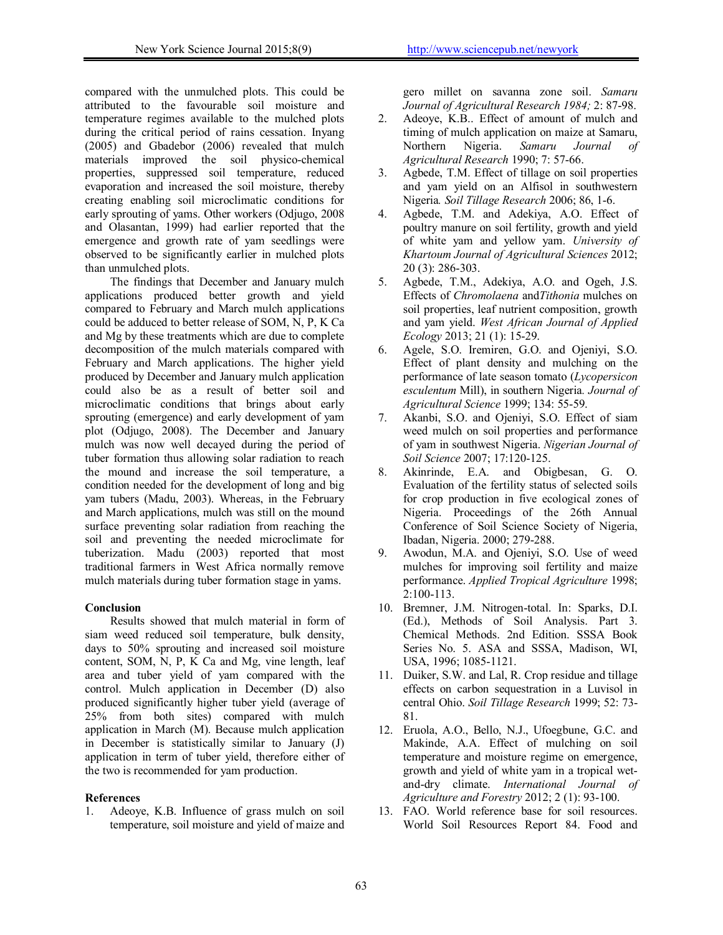compared with the unmulched plots. This could be attributed to the favourable soil moisture and temperature regimes available to the mulched plots during the critical period of rains cessation. Inyang (2005) and Gbadebor (2006) revealed that mulch materials improved the soil physico-chemical properties, suppressed soil temperature, reduced evaporation and increased the soil moisture, thereby creating enabling soil microclimatic conditions for early sprouting of yams. Other workers (Odjugo, 2008 and Olasantan, 1999) had earlier reported that the emergence and growth rate of yam seedlings were observed to be significantly earlier in mulched plots than unmulched plots.

The findings that December and January mulch applications produced better growth and yield compared to February and March mulch applications could be adduced to better release of SOM, N, P, K Ca and Mg by these treatments which are due to complete decomposition of the mulch materials compared with February and March applications. The higher yield produced by December and January mulch application could also be as a result of better soil and microclimatic conditions that brings about early sprouting (emergence) and early development of yam plot (Odjugo, 2008). The December and January mulch was now well decayed during the period of tuber formation thus allowing solar radiation to reach the mound and increase the soil temperature, a condition needed for the development of long and big yam tubers (Madu, 2003). Whereas, in the February and March applications, mulch was still on the mound surface preventing solar radiation from reaching the soil and preventing the needed microclimate for tuberization. Madu (2003) reported that most traditional farmers in West Africa normally remove mulch materials during tuber formation stage in yams.

# **Conclusion**

Results showed that mulch material in form of siam weed reduced soil temperature, bulk density, days to 50% sprouting and increased soil moisture content, SOM, N, P, K Ca and Mg, vine length, leaf area and tuber yield of yam compared with the control. Mulch application in December (D) also produced significantly higher tuber yield (average of 25% from both sites) compared with mulch application in March (M). Because mulch application in December is statistically similar to January (J) application in term of tuber yield, therefore either of the two is recommended for yam production.

# **References**

1. Adeoye, K.B. Influence of grass mulch on soil temperature, soil moisture and yield of maize and

gero millet on savanna zone soil. *Samaru Journal of Agricultural Research 1984;* 2: 87-98.

- 2. Adeoye, K.B.. Effect of amount of mulch and timing of mulch application on maize at Samaru,<br>Northern Nigeria. Samaru Journal of Samaru Journal of *Agricultural Research* 1990; 7: 57-66.
- 3. Agbede, T.M. Effect of tillage on soil properties and yam yield on an Alfisol in southwestern Nigeria*. Soil Tillage Research* 2006; 86, 1-6.
- 4. Agbede, T.M. and Adekiya, A.O. Effect of poultry manure on soil fertility, growth and yield of white yam and yellow yam. *University of Khartoum Journal of Agricultural Sciences* 2012; 20 (3): 286-303.
- 5. Agbede, T.M., Adekiya, A.O. and Ogeh, J.S. Effects of *Chromolaena* and*Tithonia* mulches on soil properties, leaf nutrient composition, growth and yam yield. *West African Journal of Applied Ecology* 2013; 21 (1): 15-29.
- 6. Agele, S.O. Iremiren, G.O. and Ojeniyi, S.O. Effect of plant density and mulching on the performance of late season tomato (*Lycopersicon esculentum* Mill), in southern Nigeria*. Journal of Agricultural Science* 1999; 134: 55-59.
- 7. Akanbi, S.O. and Ojeniyi, S.O. Effect of siam weed mulch on soil properties and performance of yam in southwest Nigeria. *Nigerian Journal of Soil Science* 2007; 17:120-125.
- 8. Akinrinde, E.A. and Obigbesan, G. O. Evaluation of the fertility status of selected soils for crop production in five ecological zones of Nigeria. Proceedings of the 26th Annual Conference of Soil Science Society of Nigeria, Ibadan, Nigeria. 2000; 279-288.
- 9. Awodun, M.A. and Ojeniyi, S.O. Use of weed mulches for improving soil fertility and maize performance. *Applied Tropical Agriculture* 1998;  $2:100-113$ .
- 10. Bremner, J.M. Nitrogen-total. In: Sparks, D.I. (Ed.), Methods of Soil Analysis. Part 3. Chemical Methods. 2nd Edition. SSSA Book Series No. 5. ASA and SSSA, Madison, WI, USA, 1996; 1085-1121.
- 11. Duiker, S.W. and Lal, R. Crop residue and tillage effects on carbon sequestration in a Luvisol in central Ohio. *Soil Tillage Research* 1999; 52: 73- 81.
- 12. Eruola, A.O., Bello, N.J., Ufoegbune, G.C. and Makinde, A.A. Effect of mulching on soil temperature and moisture regime on emergence, growth and yield of white yam in a tropical wetand-dry climate. *International Journal of Agriculture and Forestry* 2012; 2 (1): 93-100.
- 13. FAO. World reference base for soil resources. World Soil Resources Report 84. Food and